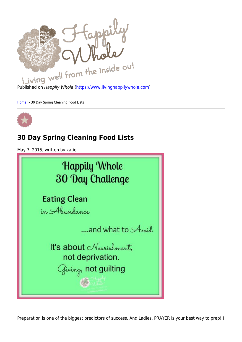

Published on Happily Whole [\(https://www.livinghappilywhole.com\)](https://www.livinghappilywhole.com)

[Home](https://www.livinghappilywhole.com/) > 30 Day Spring Cleaning Food Lists



# **30 Day Spring Cleaning Food Lists**

May 7, 2015, written by katie

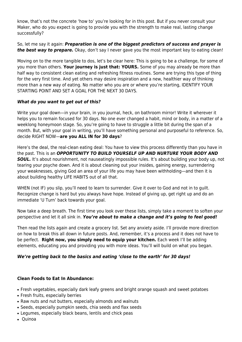know, that's not the concrete 'how to' you're looking for in this post. But if you never consult your Maker, who do you expect is going to provide you with the strength to make real, lasting change successfully?

So, let me say it again: *Preparation is one of the biggest predictors of success and prayer is the best way to prepare.* Okay, don't say I never gave you the most important key to eating clean!

Moving on to the more tangible to dos, let's be clear here: This is going to be a challenge, for some of you more than others. **Your journey is just that: YOURS.** Some of you may already be more than half way to consistent clean eating and refreshing fitness routines. Some are trying this type of thing for the very first time. And yet others may desire inspiration and a new, healthier way of thinking more than a new way of eating. No matter who you are or where you're starting, IDENTIFY YOUR STARTING POINT AND SET A GOAL FOR THE NEXT 30 DAYS.

## *What do you want to get out of this?*

Write your goal down—in your brain, in you journal, heck, on bathroom mirror! Write it wherever it helps you to remain focused for 30 days. No one ever changed a habit, mind or body, in a matter of a weeklong honeymoon stage. So, you're going to have to struggle a little bit during the span of a month. But, with your goal in writing, you'll have something personal and purposeful to reference. So, decide RIGHT NOW—**are you ALL IN for 30 days**?

Here's the deal, the real-clean eating deal: You have to view this process differently than you have in the past. This is an *OPPORTUNITY TO BUILD YOURSELF UP AND NURTURE YOUR BODY AND* **SOUL.** It's about nourishment, not nauseatingly impossible rules. It's about building your body up, not tearing your psyche down. And it is about cleaning out your insides, gaining energy, surrendering your weaknesses, giving God an area of your life you may have been withholding—and then it is about building healthy LIFE HABITS out of all that.

WHEN (not IF) you slip, you'll need to learn to surrender. Give it over to God and not in to guilt. Recognize change is hard but you always have hope. Instead of giving up, get right up and do an immediate 'U Turn' back towards your goal.

Now take a deep breath. The first time you look over these lists, simply take a moment to soften your perspective and let it all sink in. *You're about to make a change and it's going to feel good!*

Then read the lists again and create a grocery list. Set any anxiety aside. I'll provide more direction on how to break this all down in future posts. And, remember, it's a process and it does not have to be perfect. **Right now, you simply need to equip your kitchen.** Each week I'll be adding elements, educating you and providing you with more ideas. You'll will build on what you began.

## *We're getting back to the basics and eating 'close to the earth' for 30 days!*

### **Clean Foods to Eat In Abundance:**

- Fresh vegetables, especially dark leafy greens and bright orange squash and sweet potatoes
- Fresh fruits, especially berries
- Raw nuts and nut butters, especially almonds and walnuts
- Seeds, especially pumpkin seeds, chia seeds and flax seeds
- Legumes, especially black beans, lentils and chick peas
- Quinoa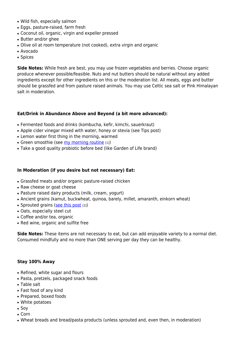- Wild fish, especially salmon
- Eggs, pasture-raised, farm fresh
- Coconut oil, organic, virgin and expeller pressed
- Butter and/or ghee
- Olive oil at room temperature (not cooked), extra virgin and organic
- Avocado
- Spices

**Side Notes:** While fresh are best, you may use frozen vegetables and berries. Choose organic produce whenever possible/feasible. Nuts and nut butters should be natural without any added ingredients except for other ingredients on this or the moderation list. All meats, eggs and butter should be grassfed and from pasture raised animals. You may use Celtic sea salt or Pink Himalayan salt in moderation.

## **Eat/Drink in Abundance Above and Beyond (a bit more advanced):**

- Fermented foods and drinks (kombucha, kefir, kimchi, sauerkraut)
- Apple cider vinegar mixed with water, honey or stevia (see Tips post)
- Lemon water first thing in the morning, warmed
- Green smoothie (see [my morning routine](https://www.livinghappilywhole.com/content/my-healthy-eating-morning-routine-how-make-easy-almond-butter) [1])
- Take a good quality probiotic before bed (like Garden of Life brand)

### **In Moderation (if you desire but not necessary) Eat:**

- Grassfed meats and/or organic pasture-raised chicken
- Raw cheese or goat cheese
- Pasture raised dairy products (milk, cream, yogurt)
- Ancient grains (kamut, buckwheat, quinoa, barely, millet, amaranth, einkorn wheat)
- Sprouted grains ([see this post](https://www.livinghappilywhole.com/articles/eating-well-articles/do-i-eat-gluten-free) [2])
- Oats, especially steel cut
- Coffee and/or tea, organic
- Red wine, organic and sulfite free

**Side Notes:** These items are not necessary to eat, but can add enjoyable variety to a normal diet. Consumed mindfully and no more than ONE serving per day they can be healthy.

### **Stay 100% Away**

- Refined, white sugar and flours
- Pasta, pretzels, packaged snack foods
- Table salt
- Fast food of any kind
- Prepared, boxed foods
- White potatoes
- Soy
- Corn
- Wheat breads and bread/pasta products (unless sprouted and, even then, in moderation)